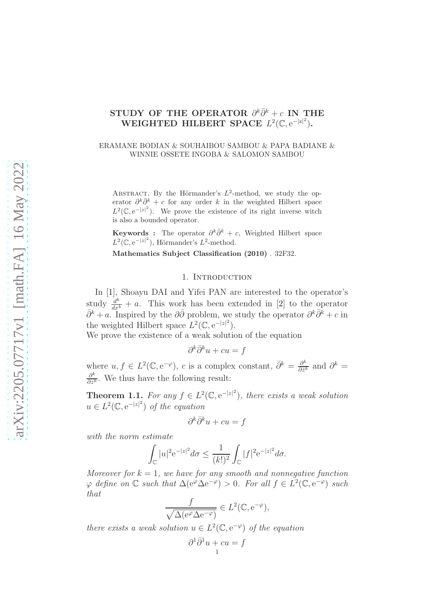# STUDY OF THE OPERATOR  $\partial^k \bar{\partial}^k + c$  IN THE WEIGHTED HILBERT SPACE  $L^2(\mathbb{C}, e^{-|z|^2})$ .

#### ERAMANE BODIAN & SOUHAIBOU SAMBOU & PAPA BADIANE & WINNIE OSSETE INGOBA & SALOMON SAMBOU

ABSTRACT. By the Hörmander's  $L^2$ -method, we study the operator  $\partial^k \overline{\partial}^k + c$  for any order k in the weighted Hilbert space  $L^2(\mathbb{C}, e^{-|z|^2})$ . We prove the existence of its right inverse witch is also a bounded operator.

**Keywords** : The operator  $\partial^k \bar{\partial}^k + c$ , Weighted Hilbert space  $L^2(\mathbb{C}, e^{-|z|^2})$ , Hörmander's  $L^2$ -method.

Mathematics Subject Classification (2010) . 32F32.

### 1. INTRODUCTION

In [\[1\]](#page-15-0), Shoayu DAI and Yifei PAN are interested to the operator's study  $\frac{d^k}{dx^k} + a$ . This work has been extended in [\[2\]](#page-15-1) to the operator  $\bar{\partial}^k + a$ . Inspired by the  $\partial \bar{\partial}$  problem, we study the operator  $\partial^k \bar{\partial}^k + c$  in the weighted Hilbert space  $L^2(\mathbb{C}, e^{-|z|^2})$ .

We prove the existence of a weak solution of the equation

$$
\partial^k \bar{\partial}^k u + cu = f
$$

where  $u, f \in L^2(\mathbb{C}, e^{-\varphi}), c$  is a complex constant,  $\bar{\partial}^k = \frac{\partial^k}{\partial \bar{z}^k}$  $\frac{\partial^k}{\partial \bar{z}^k}$  and  $\partial^k =$  $\frac{\partial^k}{\partial z^k}$ . We thus have the following result:

<span id="page-0-0"></span>**Theorem 1.1.** For any  $f \in L^2(\mathbb{C}, e^{-|z|^2})$ , there exists a weak solution  $u \in L^2(\mathbb{C}, e^{-|z|^2})$  of the equation

$$
\partial^k\bar\partial^k u+cu=f
$$

with the norm estimate

$$
\int_{\mathbb{C}}|u|^2 \mathrm{e}^{-|z|^2}d\sigma \leq \frac{1}{(k!)^2}\int_{\mathbb{C}}|f|^2 \mathrm{e}^{-|z|^2}d\sigma.
$$

Moreover for  $k = 1$ , we have for any smooth and nonnegative function  $\varphi$  define on  $\mathbb C$  such that  $\Delta(e^{\varphi} \Delta e^{-\varphi}) > 0$ . For all  $f \in L^2(\mathbb C, e^{-\varphi})$  such that

$$
\frac{f}{\sqrt{\Delta(e^{\varphi}\Delta e^{-\varphi})}} \in L^2(\mathbb{C}, e^{-\varphi}),
$$

there exists a weak solution  $u \in L^2(\mathbb{C}, e^{-\varphi})$  of the equation

$$
\partial^1 \bar{\partial}^1 u + cu = f
$$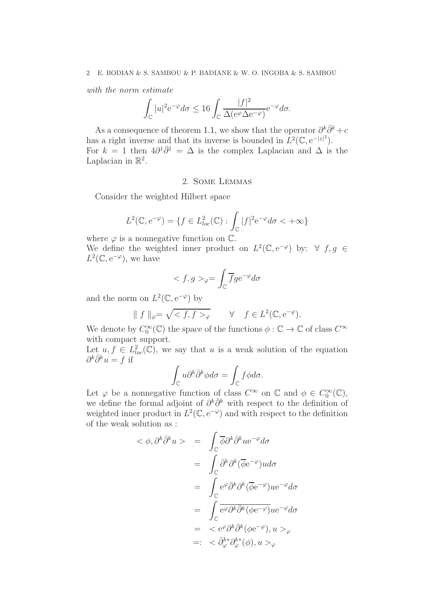#### 2 E. BODIAN & S. SAMBOU & P. BADIANE & W. O. INGOBA & S. SAMBOU

with the norm estimate

$$
\int_{\mathbb{C}} |u|^2 e^{-\varphi} d\sigma \le 16 \int_{\mathbb{C}} \frac{|f|^2}{\Delta(e^{\varphi} \Delta e^{-\varphi})} e^{-\varphi} d\sigma.
$$

As a consequence of theorem [1.1,](#page-0-0) we show that the operator  $\partial^k \bar{\partial}^k + c$ has a right inverse and that its inverse is bounded in  $\hat{L}^2(\mathbb{C}, e^{-|z|^2})$ . For  $k = 1$  then  $4\partial^1 \overline{\partial}^1 = \Delta$  is the complex Laplacian and  $\Delta$  is the Laplacian in  $\mathbb{R}^2$ .

### 2. Some Lemmas

Consider the weighted Hilbert space

$$
L^2(\mathbb{C}, e^{-\varphi}) = \{ f \in L^2_{loc}(\mathbb{C}) : \int_{\mathbb{C}} |f|^2 e^{-\varphi} d\sigma < +\infty \}
$$

where  $\varphi$  is a nonnegative function on  $\mathbb{C}$ .

We define the weighted inner product on  $L^2(\mathbb{C}, e^{-\varphi})$  by:  $\forall f, g \in \mathbb{C}$  $L^2(\mathbb{C}, e^{-\varphi})$ , we have

$$
_{\varphi}=\int_{\mathbb C}\overline{f}g\mathrm{e}^{-\varphi}d\sigma
$$

and the norm on  $L^2(\mathbb{C}, e^{-\varphi})$  by

$$
\| f \|_{\varphi} = \sqrt{< f, f>_{\varphi}} \qquad \forall \quad f \in L^{2}(\mathbb{C}, e^{-\varphi}).
$$

We denote by  $C_0^{\infty}(\mathbb{C})$  the space of the functions  $\phi : \mathbb{C} \to \mathbb{C}$  of class  $C^{\infty}$ with compact support.

Let  $u, f \in L^2_{loc}(\mathbb{C})$ , we say that u is a weak solution of the equation  $\partial^k \bar{\partial}^k u = f$  if

$$
\int_{\mathbb{C}} u \partial^{k} \bar{\partial}^{k} \phi d\sigma = \int_{\mathbb{C}} f \phi d\sigma.
$$

Let  $\varphi$  be a nonnegative function of class  $C^{\infty}$  on  $\mathbb C$  and  $\phi \in C_0^{\infty}(\mathbb C)$ , we define the formal adjoint of  $\partial^k \bar{\partial}^k$  with respect to the definition of weighted inner product in  $L^2(\mathbb{C}, e^{-\varphi})$  and with respect to the definition of the weak solution as :

$$
\langle \phi, \partial^k \bar{\partial}^k u \rangle = \int_{\mathbb{C}} \overline{\phi} \partial^k \bar{\partial}^k u e^{-\varphi} d\sigma
$$
  

$$
= \int_{\mathbb{C}} \overline{\partial}^k \partial^k (\overline{\phi} e^{-\varphi}) u d\sigma
$$
  

$$
= \int_{\mathbb{C}} e^{\varphi} \overline{\partial}^k \partial^k (\overline{\phi} e^{-\varphi}) u e^{-\varphi} d\sigma
$$
  

$$
= \int_{\mathbb{C}} e^{\varphi} \partial^k \overline{\partial}^k (\phi e^{-\varphi}) u e^{-\varphi} d\sigma
$$
  

$$
= \langle e^{\varphi} \partial^k \overline{\partial}^k (\phi e^{-\varphi}), u \rangle_{\varphi}
$$
  

$$
= \langle \partial_{\varphi}^k \partial_{\varphi}^{k*} (\phi), u \rangle_{\varphi}
$$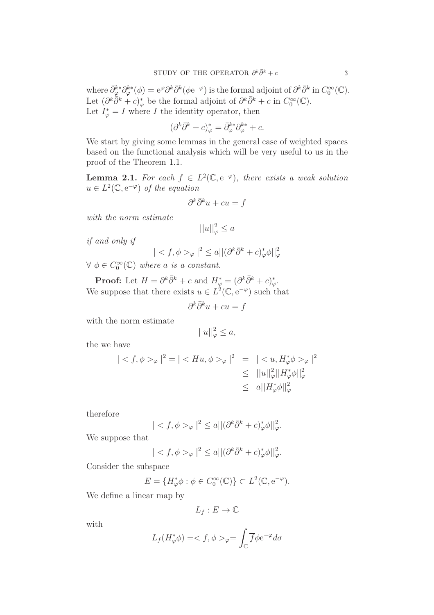where  $\bar{\partial}_{\varphi}^{k*} \partial_{\varphi}^{k*}(\phi) = e^{\varphi} \partial^k \bar{\partial}^k (\phi e^{-\varphi})$  is the formal adjoint of  $\partial^k \bar{\partial}^k$  in  $C_0^{\infty}(\mathbb{C})$ . Let  $(\partial^k \overline{\partial}^k + c)^*_{\varphi}$  be the formal adjoint of  $\partial^k \overline{\partial}^k + c$  in  $C_0^{\infty}(\mathbb{C})$ . Let  $I^*_{\varphi} = I$  where I the identity operator, then

$$
(\partial^k \bar{\partial}^k + c)^*_{\varphi} = \bar{\partial}^{k*}_{\varphi} \partial^{k*}_{\varphi} + c.
$$

We start by giving some lemmas in the general case of weighted spaces based on the functional analysis which will be very useful to us in the proof of the Theorem [1.1.](#page-0-0)

<span id="page-2-0"></span>**Lemma 2.1.** For each  $f \in L^2(\mathbb{C}, e^{-\varphi})$ , there exists a weak solution  $u \in L^2(\mathbb{C}, e^{-\varphi})$  of the equation

$$
\partial^k \bar{\partial}^k u + cu = f
$$

with the norm estimate

$$
||u||_{\varphi}^2 \le a
$$

if and only if

$$
| < f, \phi >_{\varphi} |^{2} \le a ||(\partial^{k} \overline{\partial}^{k} + c)_{\varphi}^{*} \phi||_{\varphi}^{2}
$$

 $\forall \phi \in C_0^{\infty}(\mathbb{C})$  where a is a constant.

**Proof:** Let  $H = \partial^k \bar{\partial}^k + c$  and  $H^*_{\varphi} = (\partial^k \bar{\partial}^k + c)^*_{\varphi}$ . We suppose that there exists  $u \in L^2(\mathbb{C}, e^{-\varphi})$  such that

$$
\partial^k \bar{\partial}^k u + cu = f
$$

with the norm estimate

$$
||u||_{\varphi}^2 \leq a,
$$

the we have

$$
|_{\varphi}|^{2} = |_{\varphi}|^{2} = |_{\varphi}|^{2}
$$
  

$$
\leq ||u||_{\varphi}^{2}||H_{\varphi}^{*}\phi||_{\varphi}^{2}
$$
  

$$
\leq |u||_{\varphi}^{2}||H_{\varphi}^{*}\phi||_{\varphi}^{2}
$$

therefore

$$
| < f, \phi >_{\varphi} |^{2} \le a ||(\partial^{k} \bar{\partial}^{k} + c)_{\varphi}^{*} \phi||_{\varphi}^{2}.
$$

We suppose that

$$
|_{\varphi}|^2\leq a||(\partial^k\bar{\partial}^k+c)^*_{\varphi}\phi||_{\varphi}^2.
$$

Consider the subspace

$$
E = \{H_{\varphi}^* \phi : \phi \in C_0^{\infty}(\mathbb{C})\} \subset L^2(\mathbb{C}, e^{-\varphi}).
$$

We define a linear map by

$$
L_f:E\to\mathbb{C}
$$

with

$$
L_f(H_{\varphi}^*\phi) = \langle f, \phi \rangle_{\varphi} = \int_{\mathbb{C}} \overline{f} \phi e^{-\varphi} d\sigma
$$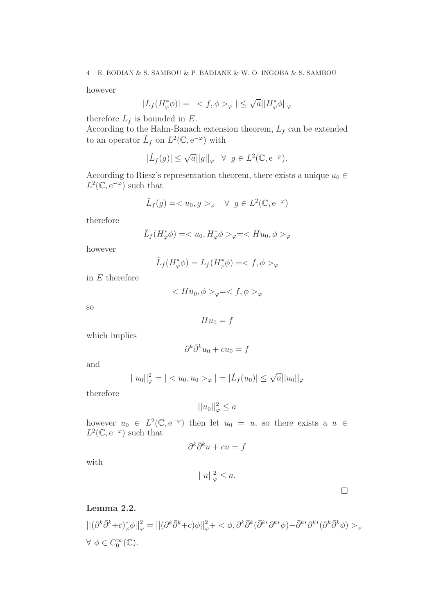however

$$
|L_f(H_{\varphi}^*\phi)| = | \langle f, \phi \rangle_{\varphi} | \leq \sqrt{a} |H_{\varphi}^*\phi||_{\varphi}
$$

therefore  $L_f$  is bounded in E.

According to the Hahn-Banach extension theorem,  $L_f$  can be extended to an operator  $\tilde{L}_f$  on  $L^2(\mathbb{C}, e^{-\varphi})$  with

$$
|\tilde{L}_f(g)| \le \sqrt{a} ||g||_{\varphi} \quad \forall \ \ g \in L^2(\mathbb{C}, \mathrm{e}^{-\varphi}).
$$

According to Riesz's representation theorem, there exists a unique  $u_0 \in$  $L^2(\mathbb{C}, e^{-\varphi})$  such that

$$
\tilde{L}_f(g) = \langle u_0, g \rangle_{\varphi} \quad \forall \ g \in L^2(\mathbb{C}, \mathrm{e}^{-\varphi})
$$

therefore

$$
\tilde{L}_f(H^*_{\varphi}\phi) = _{\varphi} = _{\varphi}
$$

however

$$
\tilde{L}_f(H^*_{\varphi}\phi) = L_f(H^*_{\varphi}\phi) = \langle f, \phi \rangle_{\varphi}
$$

in  $E$  therefore

$$
\langle H u_0, \phi \rangle_{\varphi} = \langle f, \phi \rangle_{\varphi}
$$

so

 $Hu_0 = f$ 

which implies

$$
\partial^k\bar\partial^k u_0+cu_0=f
$$

and

$$
||u_0||_{\varphi}^2 = | < u_0, u_0 > \varphi| = |\tilde{L}_f(u_0)| \le \sqrt{a} ||u_0||_{\varphi}
$$

therefore

$$
||u_0||_{\varphi}^2 \leq a
$$

however  $u_0 \in L^2(\mathbb{C}, e^{-\varphi})$  then let  $u_0 = u$ , so there exists a  $u \in L^2(\mathbb{C}, e^{-\varphi})$  $L^2(\mathbb{C}, e^{-\varphi})$  such that

$$
\partial^k\bar\partial^k u+cu=f
$$

with

$$
||u||_{\varphi}^2 \leq a.
$$

### Lemma 2.2.

 $||(\partial^k \bar{\partial}^k + c)_\varphi^* \phi||_\varphi^2 = ||(\partial^k \bar{\partial}^k + c)\phi||_\varphi^2 + \langle \phi, \partial^k \bar{\partial}^k (\bar{\partial}^{k*} \partial^{k*} \phi) - \bar{\partial}^{k*} \partial^{k*} (\partial^k \bar{\partial}^k \phi) \rangle_{\varphi}$  $\forall \phi \in C_0^{\infty}(\mathbb{C}).$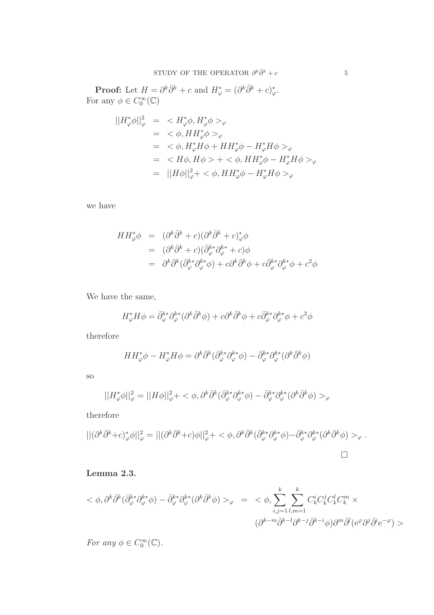**Proof:** Let  $H = \partial^k \bar{\partial}^k + c$  and  $H^*_{\varphi} = (\partial^k \bar{\partial}^k + c)^*_{\varphi}$ . For any  $\phi \in C_0^{\infty}(\mathbb{C})$ 

$$
\begin{aligned}\n||H_{\varphi}^* \phi||_{\varphi}^2 &=& H_{\varphi}^* \phi, H_{\varphi}^* \phi >_{\varphi} \\
&= & < \phi, HH_{\varphi}^* \phi >_{\varphi} \\
&= & < \phi, H_{\varphi}^* H \phi + HH_{\varphi}^* \phi - H_{\varphi}^* H \phi >_{\varphi} \\
&= & < H \phi, H \phi > + & < \phi, HH_{\varphi}^* \phi - H_{\varphi}^* H \phi >_{\varphi} \\
&= & ||H \phi||_{\varphi}^2 + & < \phi, HH_{\varphi}^* \phi - H_{\varphi}^* H \phi >_{\varphi}\n\end{aligned}
$$

we have

$$
HH_{\varphi}^* \phi = (\partial^k \bar{\partial}^k + c)(\partial^k \bar{\partial}^k + c)_{\varphi}^* \phi
$$
  
= 
$$
(\partial^k \bar{\partial}^k + c)(\bar{\partial}^{k*}_{\varphi} \partial^k_{\varphi} + c)\phi
$$
  
= 
$$
\partial^k \bar{\partial}^k (\bar{\partial}^{k*}_{\varphi} \partial^k_{\varphi} \phi) + c\partial^k \bar{\partial}^k \phi + c\bar{\partial}^{k*}_{\varphi} \partial^k_{\varphi} \phi + c^2 \phi
$$

We have the same,

$$
H_{\varphi}^* H \phi = \bar{\partial}_{\varphi}^{k*} \partial_{\varphi}^{k*} (\partial^k \bar{\partial}^k \phi) + c \partial^k \bar{\partial}^k \phi + c \bar{\partial}_{\varphi}^{k*} \partial_{\varphi}^{k*} \phi + c^2 \phi
$$

therefore

$$
HH_{\varphi}^* \phi - H_{\varphi}^* H \phi = \partial^k \bar{\partial}^k (\bar{\partial}_{\varphi}^{k*} \partial_{\varphi}^{k*} \phi) - \bar{\partial}_{\varphi}^{k*} \partial_{\varphi}^{k*} (\partial^k \bar{\partial}^k \phi)
$$

so

$$
||H_{\varphi}^*\phi||_{\varphi}^2 = ||H\phi||_{\varphi}^2 + \langle \phi, \partial^k \bar{\partial}^k (\bar{\partial}_{\varphi}^{k*} \partial_{\varphi}^{k*} \phi) - \bar{\partial}_{\varphi}^{k*} \partial_{\varphi}^{k*} (\partial^k \bar{\partial}^k \phi) \rangle_{\varphi}
$$

therefore

$$
||(\partial^k \bar{\partial}^k + c)^*_{\varphi} \phi||_{\varphi}^2 = ||(\partial^k \bar{\partial}^k + c)\phi||_{\varphi}^2 + \langle \phi, \partial^k \bar{\partial}^k (\bar{\partial}^{k*}_{\varphi} \partial^{k*}_{\varphi} \phi) - \bar{\partial}^{k*}_{\varphi} \partial^{k*}_{\varphi} (\partial^k \bar{\partial}^k \phi) >_{\varphi}.
$$

## <span id="page-4-0"></span>Lemma 2.3.

$$
\langle \phi, \partial^k \bar{\partial}^k (\bar{\partial}_\varphi^{k*} \partial_\varphi^{k*} \phi) - \bar{\partial}_\varphi^{k*} \partial_\varphi^{k*} (\partial^k \bar{\partial}^k \phi) \rangle_{\varphi} = \langle \phi, \sum_{i,j=1}^k \sum_{l,m=1}^k C_k^i C_k^j C_k^l C_k^m \times
$$

$$
(\partial^{k-m} \bar{\partial}^{k-l} \partial^{k-j} \bar{\partial}^{k-l} \phi) \partial^m \bar{\partial}^l (e^\varphi \partial^j \bar{\partial}^i e^{-\varphi}) \rangle
$$

For any  $\phi \in C_0^{\infty}(\mathbb{C})$ .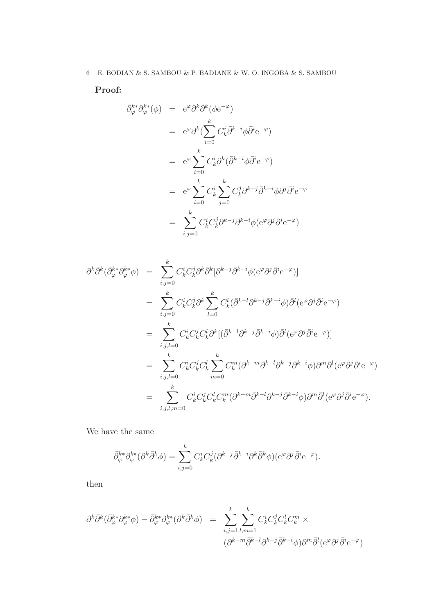Proof:

$$
\bar{\partial}_{\varphi}^{k*} \partial_{\varphi}^{k*}(\phi) = e^{\varphi} \partial^{k} \bar{\partial}^{k} (\phi e^{-\varphi})
$$
\n
$$
= e^{\varphi} \partial^{k} \left( \sum_{i=0}^{k} C_{k}^{i} \bar{\partial}^{k-i} \phi \bar{\partial}^{i} e^{-\varphi} \right)
$$
\n
$$
= e^{\varphi} \sum_{i=0}^{k} C_{k}^{i} \partial^{k} (\bar{\partial}^{k-i} \phi \bar{\partial}^{i} e^{-\varphi})
$$
\n
$$
= e^{\varphi} \sum_{i=0}^{k} C_{k}^{i} \sum_{j=0}^{k} C_{k}^{j} \partial^{k-j} \bar{\partial}^{k-i} \phi \partial^{j} \bar{\partial}^{i} e^{-\varphi}
$$
\n
$$
= \sum_{i,j=0}^{k} C_{k}^{i} C_{k}^{j} \partial^{k-j} \bar{\partial}^{k-i} \phi (e^{\varphi} \partial^{j} \bar{\partial}^{i} e^{-\varphi})
$$

$$
\partial^{k}\bar{\partial}^{k}(\bar{\partial}_{\varphi}^{k*}\partial_{\varphi}^{k*}\phi) = \sum_{i,j=0}^{k} C_{k}^{i}C_{k}^{j}\partial^{k}\bar{\partial}^{k}[\partial^{k-j}\bar{\partial}^{k-i}\phi(e^{\varphi}\partial^{j}\bar{\partial}^{i}e^{-\varphi})]
$$
  
\n
$$
= \sum_{i,j=0}^{k} C_{k}^{i}C_{k}^{j}\partial^{k} \sum_{l=0}^{k} C_{k}^{l}(\bar{\partial}^{k-l}\partial^{k-j}\bar{\partial}^{k-i}\phi)\bar{\partial}^{l}(e^{\varphi}\partial^{j}\bar{\partial}^{i}e^{-\varphi})
$$
  
\n
$$
= \sum_{i,j,l=0}^{k} C_{k}^{i}C_{k}^{j}C_{k}^{l}\partial^{k}[(\bar{\partial}^{k-l}\partial^{k-j}\bar{\partial}^{k-i}\phi)\bar{\partial}^{l}(e^{\varphi}\partial^{j}\bar{\partial}^{i}e^{-\varphi})]
$$
  
\n
$$
= \sum_{i,j,l=0}^{k} C_{k}^{i}C_{k}^{j}C_{k}^{l} \sum_{m=0}^{k} C_{k}^{m}(\partial^{k-m}\bar{\partial}^{k-l}\partial^{k-j}\bar{\partial}^{k-i}\phi)\partial^{m}\bar{\partial}^{l}(e^{\varphi}\partial^{j}\bar{\partial}^{i}e^{-\varphi})
$$
  
\n
$$
= \sum_{i,j,l,m=0}^{k} C_{k}^{i}C_{k}^{j}C_{k}^{l}C_{k}^{m}(\partial^{k-m}\bar{\partial}^{k-l}\partial^{k-j}\bar{\partial}^{k-i}\phi)\partial^{m}\bar{\partial}^{l}(e^{\varphi}\partial^{j}\bar{\partial}^{i}e^{-\varphi}).
$$

We have the same

$$
\bar{\partial}^{k*}_{\varphi} \partial^{k*}_{\varphi} (\partial^k \bar{\partial}^k \phi) = \sum_{i,j=0}^k C_k^i C_k^j (\partial^{k-j} \bar{\partial}^{k-i} \partial^k \bar{\partial}^k \phi) (\partial^{\varphi} \partial^j \bar{\partial}^i e^{-\varphi}).
$$

then

$$
\partial^k \bar{\partial}^k (\bar{\partial}^{k*}_{\varphi} \partial^{k*}_{\varphi} \phi) - \bar{\partial}^{k*}_{\varphi} \partial^{k*}_{\varphi} (\partial^k \bar{\partial}^k \phi) = \sum_{i,j=1}^k \sum_{l,m=1}^k C^i_k C^j_k C^l_k C^m_k \times
$$
  

$$
(\partial^{k-m} \bar{\partial}^{k-l} \partial^{k-j} \bar{\partial}^{k-i} \phi) \partial^m \bar{\partial}^l (e^{\varphi} \partial^j \bar{\partial}^i e^{-\varphi})
$$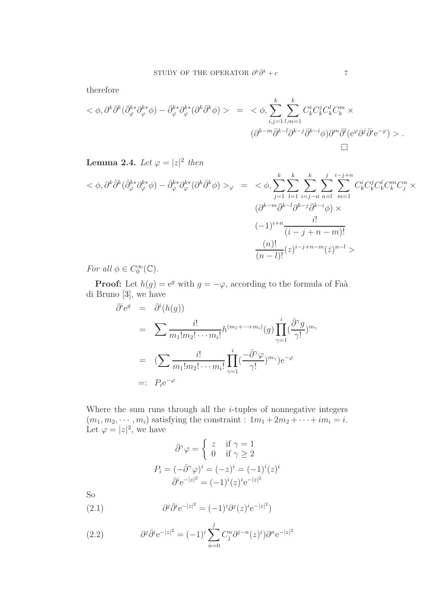therefore

$$
\langle \phi, \partial^k \bar{\partial}^k (\bar{\partial}_\varphi^{k*} \partial_\varphi^{k*} \phi) - \bar{\partial}_\varphi^{k*} \partial_\varphi^{k*} (\partial^k \bar{\partial}^k \phi) \rangle = \langle \phi, \sum_{i,j=1}^k \sum_{l,m=1}^k C_k^i C_k^j C_k^l C_k^m \times
$$

$$
(\partial^{k-m} \bar{\partial}^{k-l} \partial^{k-j} \bar{\partial}^{k-i} \phi) \partial^m \bar{\partial}^l (e^\varphi \partial^j \bar{\partial}^i e^{-\varphi}) \rangle.
$$

<span id="page-6-1"></span>**Lemma 2.4.** Let  $\varphi = |z|^2$  then

$$
\langle \phi, \partial^k \bar{\partial}^k (\bar{\partial}_\varphi^{k*} \partial_\varphi^{k*} \phi) - \bar{\partial}_\varphi^{k*} \partial_\varphi^{k*} (\partial^k \bar{\partial}^k \phi) \rangle_{\varphi} = \langle \phi, \sum_{j=1}^k \sum_{l=1}^k \sum_{i=j-n}^k \sum_{n=l}^j \sum_{m=1}^{i-j+n} C_k^i C_k^j C_k^l C_k^m C_j^n \times
$$
  

$$
\frac{(\partial^{k-m} \bar{\partial}^{k-l} \partial^{k-j} \bar{\partial}^{k-i} \phi) \times}{(i-j+n-m)!}
$$
  

$$
\frac{(n)!}{(n-l)!} (z)^{i-j+n-m} (\bar{z})^{n-l} \rangle
$$

For all  $\phi \in C_0^{\infty}(\mathbb{C})$ .

**Proof:** Let  $h(g) = e^g$  with  $g = -\varphi$ , according to the formula of Faà di Bruno [\[3\]](#page-15-2), we have

$$
\bar{\partial}^{i} e^{g} = \bar{\partial}^{i}(h(g))
$$
\n
$$
= \sum \frac{i!}{m_{1}! m_{2}! \cdots m_{i}!} h^{(m_{1} + \cdots + m_{i})}(g) \prod_{\gamma=1}^{i} (\frac{\bar{\partial}^{\gamma} g}{\gamma !})^{m_{\gamma}}
$$
\n
$$
= (\sum \frac{i!}{m_{1}! m_{2}! \cdots m_{i}!} \prod_{\gamma=1}^{i} (\frac{-\bar{\partial}^{\gamma} \varphi}{\gamma !})^{m_{\gamma}}) e^{-\varphi}
$$
\n
$$
=: P_{i} e^{-\varphi}
$$

Where the sum runs through all the  $i$ -tuples of nonnegative integers  $(m_1, m_2, \dots, m_i)$  satisfying the constraint :  $1m_1 + 2m_2 + \dots + im_i = i$ . Let  $\varphi = |z|^2$ , we have

$$
\bar{\partial}^{\gamma}\varphi = \begin{cases}\nz & \text{if } \gamma = 1 \\
0 & \text{if } \gamma \ge 2\n\end{cases}
$$
\n
$$
P_i = (-\bar{\partial}^{\gamma}\varphi)^i = (-z)^i = (-1)^i (z)^i
$$
\n
$$
\bar{\partial}^i e^{-|z|^2} = (-1)^i (z)^i e^{-|z|^2}
$$

So

(2.1) 
$$
\partial^j \bar{\partial}^i e^{-|z|^2} = (-1)^i \partial^j (z)^i e^{-|z|^2})
$$

<span id="page-6-0"></span>(2.2) 
$$
\partial^j \bar{\partial}^i e^{-|z|^2} = (-1)^i \sum_{n=0}^j C_j^n \partial^{j-n}(z)^i \partial^n e^{-|z|^2}
$$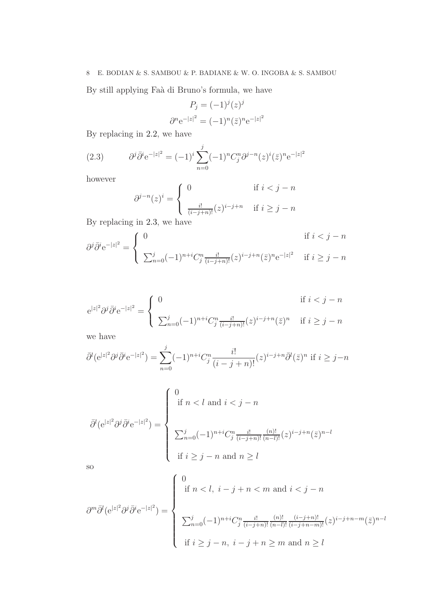### 8 E. BODIAN & S. SAMBOU & P. BADIANE & W. O. INGOBA & S. SAMBOU

By still applying Faà di Bruno's formula, we have

$$
P_j = (-1)^j (z)^j
$$

$$
\partial^n e^{-|z|^2} = (-1)^n (\bar{z})^n e^{-|z|^2}
$$

By replacing in [2.2,](#page-6-0) we have

(2.3) 
$$
\partial^j \bar{\partial}^i e^{-|z|^2} = (-1)^i \sum_{n=0}^j (-1)^n C_j^n \partial^{j-n} (z)^i (\bar{z})^n e^{-|z|^2}
$$

however

<span id="page-7-0"></span>
$$
\partial^{j-n}(z)^i = \begin{cases} 0 & \text{if } i < j - n \\ \frac{i!}{(i-j+n)!}(z)^{i-j+n} & \text{if } i \ge j - n \end{cases}
$$

By replacing in [2.3,](#page-7-0) we have

$$
\partial^j \bar{\partial}^i e^{-|z|^2} = \begin{cases} 0 & \text{if } i < j - n \\ \sum_{n=0}^j (-1)^{n+i} C_j^n \frac{i!}{(i-j+n)!} (z)^{i-j+n} (\bar{z})^n e^{-|z|^2} & \text{if } i \ge j - n \end{cases}
$$

$$
e^{|z|^2} \partial^j \bar{\partial}^i e^{-|z|^2} = \begin{cases} 0 & \text{if } i < j - n \\ \sum_{n=0}^j (-1)^{n+i} C_j^n \frac{i!}{(i-j+n)!} (z)^{i-j+n} (\bar{z})^n & \text{if } i \ge j - n \end{cases}
$$

we have

$$
\bar{\partial}^l(e^{|z|^2}\partial^j\bar{\partial}^i e^{-|z|^2}) = \sum_{n=0}^j (-1)^{n+i} C_j^n \frac{i!}{(i-j+n)!} (z)^{i-j+n} \bar{\partial}^l(\bar{z})^n \text{ if } i \ge j-n
$$

$$
\bar{\partial}^l(e^{|z|^2}\partial^j\bar{\partial}^i e^{-|z|^2}) = \begin{cases} 0\\ \text{if } n < l \text{ and } i < j - n\\ \\ \sum_{n=0}^j (-1)^{n+i}C_j^n \frac{i!}{(i-j+n)!} \frac{(n)!}{(n-l)!} (z)^{i-j+n} (\bar{z})^{n-l}\\ \\ \text{if } i \ge j - n \text{ and } n \ge l \end{cases}
$$

so

$$
\partial^m \bar{\partial}^l (e^{|z|^2} \partial^j \bar{\partial}^i e^{-|z|^2}) = \begin{cases} 0 & \text{if } n < l, \ i - j + n < m \text{ and } i < j - n \\ & \\ \sum_{n=0}^j (-1)^{n+i} C_j^n \frac{i!}{(i-j+n)!} \frac{(n)!}{(n-l)!} \frac{(i-j+n)!}{(i-j+n-m)!} (z)^{i-j+n-m} (\bar{z})^{n-l} \\ & \text{if } i \ge j - n, \ i - j + n \ge m \text{ and } n \ge l \end{cases}
$$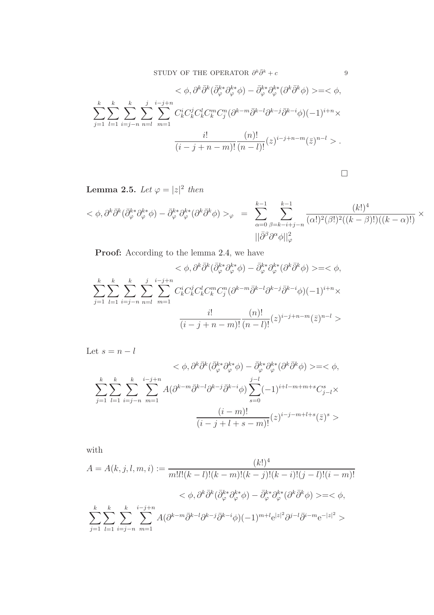$$
\langle \phi, \partial^k \bar{\partial}^k (\bar{\partial}_\varphi^{k*} \phi) - \bar{\partial}_\varphi^{k*} \partial_\varphi^{k*} (\partial^k \bar{\partial}^k \phi) \rangle = \langle \phi, \rangle
$$
  

$$
\sum_{j=1}^k \sum_{l=1}^k \sum_{i=j-n}^k \sum_{n=l}^j \sum_{m=1}^{i-j+n} C_k^i C_k^j C_k^l C_k^m C_j^n (\partial^{k-m} \bar{\partial}^{k-l} \partial^{k-j} \bar{\partial}^{k-i} \phi) (-1)^{i+n} \times \frac{i!}{(i-j+n-m)!} \frac{(n)!}{(n-l)!} (z)^{i-j+n-m} (\bar{z})^{n-l} \rangle.
$$

 $\hfill \square$ 

**Lemma 2.5.** Let  $\varphi = |z|^2$  then

$$
\langle \phi, \partial^k \bar{\partial}^k (\bar{\partial}_\varphi^{k*} \partial_\varphi^{k*} \phi) - \bar{\partial}_\varphi^{k*} \partial_\varphi^{k*} (\partial^k \bar{\partial}^k \phi) \rangle_{\varphi} = \sum_{\alpha=0}^{k-1} \sum_{\beta=k-i+j-n}^{k-1} \frac{(k!)^4}{(\alpha!)^2 (\beta!)^2 ((k-\beta)!)((k-\alpha)!)} \times \frac{(k+\beta)!}{|\bar{\partial}^{\beta} \partial^{\alpha} \phi||_{\varphi}^2}
$$

Proof: According to the lemma [2.4,](#page-6-1) we have

$$
\langle \phi, \partial^k \bar{\partial}^k (\bar{\partial}_\varphi^{k*} \partial_\varphi^{k*} \phi) - \bar{\partial}_\varphi^{k*} \partial_\varphi^{k*} (\partial^k \bar{\partial}^k \phi) \rangle = \langle \phi, \rangle
$$
  

$$
\sum_{j=1}^k \sum_{l=1}^k \sum_{i=j-n}^k \sum_{n=l}^j \sum_{m=1}^{i-j+n} C_k^i C_k^j C_k^l C_k^m C_j^m (\partial^{k-m} \bar{\partial}^{k-l} \partial^{k-j} \bar{\partial}^{k-i} \phi) (-1)^{i+n} \times \frac{i!}{(i-j+n-m)!} \frac{(n)!}{(n-l)!} (z)^{i-j+n-m} (\bar{z})^{n-l} \rangle
$$

Let  $s = n - l$ 

$$
\langle \phi, \partial^k \bar{\partial}^k (\bar{\partial}^{k*}_{\varphi} \partial^{k*}_{\varphi} \phi) - \bar{\partial}^{k*}_{\varphi} \partial^{k*}_{\varphi} (\partial^k \bar{\partial}^k \phi) \rangle = \langle \phi, \phi \rangle
$$
\n
$$
\sum_{j=1}^k \sum_{l=1}^k \sum_{i=j-n}^k \sum_{m=1}^{i-j+n} A(\partial^{k-m} \bar{\partial}^{k-l} \partial^{k-j} \bar{\partial}^{k-i} \phi) \sum_{s=0}^{j-l} (-1)^{i+l-m+m+s} C_{j-l}^s \times \frac{(i-m)!}{(i-j+l+s-m)!} (z)^{i-j-m+l+s} (\bar{z})^s >
$$

with

$$
A = A(k, j, l, m, i) := \frac{(k!)^4}{m!l!(k-l)!(k-m)!(k-j)!(k-i)!(j-l)!(i-m)!}
$$
  

$$
< \phi, \partial^k \bar{\partial}^k (\bar{\partial}^{k*}_{\varphi} \partial^{k*}_{\varphi} \phi) - \bar{\partial}^{k*}_{\varphi} \partial^{k*}_{\varphi} (\partial^k \bar{\partial}^k \phi) > = < \phi,
$$
  

$$
\sum_{j=1}^k \sum_{l=1}^k \sum_{i=j-n}^k \sum_{m=1}^{i-j+n} A(\partial^{k-m} \bar{\partial}^{k-l} \partial^{k-j} \bar{\partial}^{k-i} \phi)(-1)^{m+l} e^{|z|^2} \partial^{j-l} \bar{\partial}^{i-m} e^{-|z|^2} >
$$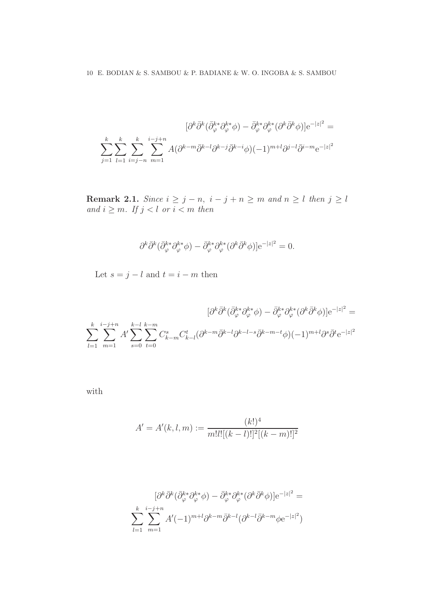$$
[\partial^k \bar{\partial}^k (\bar{\partial}_\varphi^{k*} \partial_\varphi^{k*} \phi) - \bar{\partial}_\varphi^{k*} \partial_\varphi^{k*} (\partial^k \bar{\partial}^k \phi)] e^{-|z|^2} =
$$
  

$$
\sum_{j=1}^k \sum_{l=1}^k \sum_{i=j-n}^k \sum_{m=1}^{i-j+n} A(\partial^{k-m} \bar{\partial}^{k-l} \partial^{k-j} \bar{\partial}^{k-i} \phi) (-1)^{m+l} \partial^{j-l} \bar{\partial}^{i-m} e^{-|z|^2}
$$

Remark 2.1. Since  $i \geq j - n$ ,  $i - j + n \geq m$  and  $n \geq l$  then  $j \geq l$ and  $i \geq m$ . If  $j < l$  or  $i < m$  then

$$
\partial^k \bar{\partial}^k (\bar{\partial}_\varphi^{k*} \partial_\varphi^{k*} \phi) - \bar{\partial}_\varphi^{k*} \partial_\varphi^{k*} (\partial^k \bar{\partial}^k \phi)] \mathrm{e}^{-|z|^2} = 0.
$$

Let  $s = j - l$  and  $t = i - m$  then

$$
[\partial^k \bar{\partial}^k (\bar{\partial}_\varphi^{k*} \partial_\varphi^{k*} \phi) - \bar{\partial}_\varphi^{k*} \partial_\varphi^{k*} (\partial^k \bar{\partial}^k \phi)] e^{-|z|^2} =
$$
  

$$
\sum_{l=1}^k \sum_{m=1}^{i-j+n} A' \sum_{s=0}^{k-l} \sum_{t=0}^{k-m} C_{k-m}^s C_{k-l}^t (\partial^{k-m} \bar{\partial}^{k-l} \partial^{k-l-s} \bar{\partial}^{k-m-t} \phi) (-1)^{m+l} \partial^s \bar{\partial}^t e^{-|z|^2}
$$

with

$$
A' = A'(k, l, m) := \frac{(k!)^4}{m!l![(k-l)!]^2[(k-m)!]^2}
$$

$$
[\partial^k \bar{\partial}^k (\bar{\partial}^{k*}_{\varphi} \partial^{k*}_{\varphi} \phi) - \bar{\partial}^{k*}_{\varphi} \partial^{k*}_{\varphi} (\partial^k \bar{\partial}^k \phi)] e^{-|z|^2} =
$$
  

$$
\sum_{l=1}^k \sum_{m=1}^{i-j+n} A'(-1)^{m+l} \partial^{k-m} \bar{\partial}^{k-l} (\partial^{k-l} \bar{\partial}^{k-m} \phi e^{-|z|^2})
$$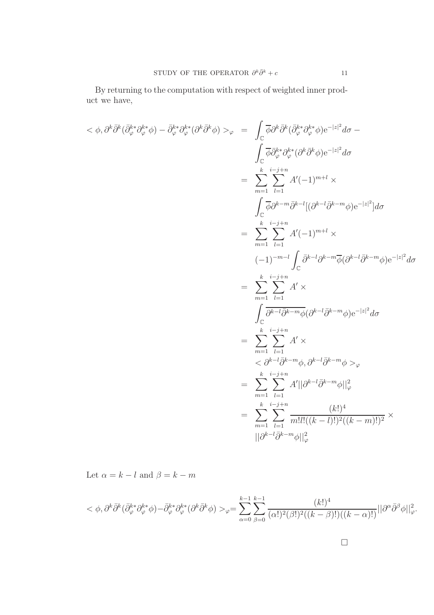By returning to the computation with respect of weighted inner product we have,

$$
\langle \phi, \partial^{k} \bar{\partial}^{k} (\bar{\partial}_{\varphi}^{k*} \partial_{\varphi}^{k*} \phi) - \bar{\partial}_{\varphi}^{k*} \partial_{\varphi}^{k*} (\partial^{k} \bar{\partial}^{k} \phi) \rangle_{\varphi} = \int_{\mathbb{C}} \overline{\phi} \partial^{k} \overline{\partial}^{k} (\bar{\partial}_{\varphi}^{k*} \partial_{\varphi}^{k*} \phi) e^{-|z|^{2}} d\sigma - \int_{\mathbb{C}} \overline{\phi} \overline{\partial}_{\varphi}^{k*} \partial_{\varphi}^{k*} (\partial^{k} \bar{\partial}^{k} \phi) e^{-|z|^{2}} d\sigma
$$
\n
$$
= \sum_{m=1}^{k} \sum_{l=1}^{i-j+n} A'(-1)^{m+l} \times \int_{\mathbb{C}} \overline{\phi} \partial^{k-m} \overline{\partial}^{k-l} [(\partial^{k-l} \overline{\partial}^{k-m} \phi) e^{-|z|^{2}}] d\sigma
$$
\n
$$
= \sum_{m=1}^{k} \sum_{l=1}^{i-j+n} A'(-1)^{m+l} \times \left( -1 \right)^{-m-l} \int_{\mathbb{C}} \overline{\partial}^{k-l} \partial^{k-m} \overline{\phi} (\partial^{k-l} \overline{\partial}^{k-m} \phi) e^{-|z|^{2}} d\sigma
$$
\n
$$
= \sum_{m=1}^{k} \sum_{l=1}^{i-j+n} A' \times \int_{\mathbb{C}} \overline{\partial^{k-l} \overline{\partial}^{k-m} \phi} (\partial^{k-l} \overline{\partial}^{k-m} \phi) e^{-|z|^{2}} d\sigma
$$
\n
$$
= \sum_{m=1}^{k} \sum_{l=1}^{i-j+n} A' \times \left( \partial^{k-l} \overline{\partial}^{k-m} \phi, \partial^{k-l} \overline{\partial}^{k-m} \phi \right) \rangle_{\varphi} = \sum_{m=1}^{k} \sum_{l=1}^{i-j+n} A' ||\partial^{k-l} \overline{\partial}^{k-m} \phi||_{\varphi}^{2}
$$
\n
$$
= \sum_{m=1}^{k} \sum_{l=1}^{i-j+n} \frac{(k!)^{4}}{m!l!((k-l)!)^{2}((k-m)!)^{2}} \times ||\partial^{k-l
$$

Let  $\alpha = k - l$  and  $\beta = k - m$ 

$$
<\phi,\partial^k\bar{\partial}^k(\bar{\partial}_\varphi^{k*}\partial_\varphi^{k*}\phi)-\bar{\partial}_\varphi^{k*}\partial_\varphi^{k*}(\partial^k\bar{\partial}^k\phi)>_{\varphi}=\sum_{\alpha=0}^{k-1}\sum_{\beta=0}^{k-1}\frac{(k!)^4}{(\alpha!)^2(\beta!)^2((k-\beta)!)((k-\alpha)!)}||\partial^\alpha\bar{\partial}^{\beta}\phi||_{\varphi}^2.
$$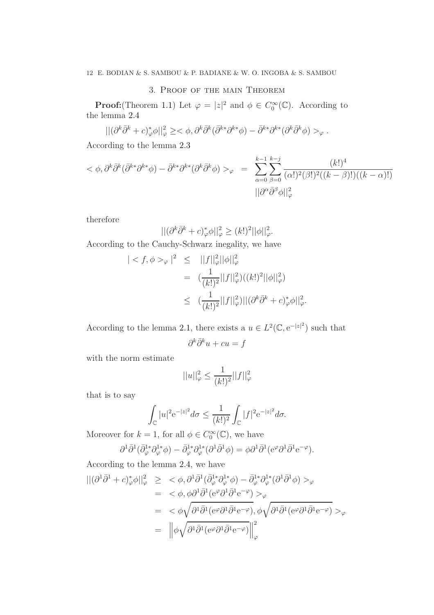### 3. Proof of the main Theorem

**Proof:**(Theorem [1.1\)](#page-0-0) Let  $\varphi = |z|^2$  and  $\phi \in C_0^{\infty}(\mathbb{C})$ . According to the lemma [2.4](#page-6-1)

$$
\left| \left| (\partial^k \bar{\partial}^k + c)^*_{\varphi} \phi \right| \right|^2_{\varphi} \geq <\phi, \partial^k \bar{\partial}^k (\bar{\partial}^{k*} \partial^{k*} \phi) - \bar{\partial}^{k*} \partial^{k*} (\partial^k \bar{\partial}^k \phi) >_{\varphi}.
$$

According to the lemma [2.3](#page-4-0)

$$
\langle \phi, \partial^k \bar{\partial}^k (\bar{\partial}^{k*} \partial^{k*} \phi) - \bar{\partial}^{k*} \partial^{k*} (\partial^k \bar{\partial}^k \phi) \rangle_{\varphi} = \sum_{\alpha=0}^{k-1} \sum_{\beta=0}^{k-j} \frac{(k!)^4}{(\alpha!)^2 (\beta!)^2 ((k-\beta)!)((k-\alpha)!)} \frac{(k+\beta)!}{(\alpha!)^2 (\beta!)^2 ((k-\beta)!)(k-\alpha)!}
$$

therefore

$$
||(\partial^k \bar{\partial}^k + c)_\varphi^* \phi||_\varphi^2 \ge (k!)^2 ||\phi||_\varphi^2.
$$

According to the Cauchy-Schwarz inegality, we have

$$
\begin{array}{rcl} | \langle f, \phi \rangle_{\varphi} |^{2} & \leq & ||f||_{\varphi}^{2} ||\phi||_{\varphi}^{2} \\ & = & \left( \frac{1}{(k!)^{2}} ||f||_{\varphi}^{2} \right) \left( (k!)^{2} ||\phi||_{\varphi}^{2} \right) \\ & \leq & \left( \frac{1}{(k!)^{2}} ||f||_{\varphi}^{2} \right) ||(\partial^{k} \bar{\partial}^{k} + c)_{\varphi}^{*} \phi||_{\varphi}^{2} .\end{array}
$$

According to the lemma [2.1,](#page-2-0) there exists a  $u \in L^2(\mathbb{C}, e^{-|z|^2})$  such that

$$
\partial^k \bar{\partial}^k u + cu = f
$$

with the norm estimate

$$
||u||_{\varphi}^2 \le \frac{1}{(k!)^2} ||f||_{\varphi}^2
$$

that is to say

$$
\int_{\mathbb{C}} |u|^2 e^{-|z|^2} d\sigma \le \frac{1}{(k!)^2} \int_{\mathbb{C}} |f|^2 e^{-|z|^2} d\sigma.
$$

Moreover for  $k = 1$ , for all  $\phi \in C_0^{\infty}(\mathbb{C})$ , we have

$$
\partial^1 \bar{\partial}^1 (\bar{\partial}_\varphi^{1*} \partial_\varphi^{1*} \phi) - \bar{\partial}_\varphi^{1*} \partial_\varphi^{1*} (\partial^1 \bar{\partial}^1 \phi) = \phi \partial^1 \bar{\partial}^1 (e^\varphi \partial^1 \bar{\partial}^1 e^{-\varphi}).
$$

According to the lemma [2.4,](#page-6-1) we have

$$
\begin{split} ||(\partial^1 \bar{\partial}^1 + c)_\varphi^* \phi||_\varphi^2 &\geq \langle \phi, \partial^1 \bar{\partial}^1 (\bar{\partial}_\varphi^{1*} \partial_\varphi^{1*} \phi) - \bar{\partial}_\varphi^{1*} \partial_\varphi^{1*} (\partial^1 \bar{\partial}^1 \phi) >_{\varphi} \\ &= \langle \phi, \phi \partial^1 \bar{\partial}^1 (e^\varphi \partial^1 \bar{\partial}^1 e^{-\varphi}) >_{\varphi} \\ &= \langle \phi \sqrt{\partial^1 \bar{\partial}^1 (e^\varphi \partial^1 \bar{\partial}^1 e^{-\varphi})}, \phi \sqrt{\partial^1 \bar{\partial}^1 (e^\varphi \partial^1 \bar{\partial}^1 e^{-\varphi})} >_{\varphi} \\ &= \left\| \phi \sqrt{\partial^1 \bar{\partial}^1 (e^\varphi \partial^1 \bar{\partial}^1 e^{-\varphi})} \right\|_\varphi^2 \end{split}
$$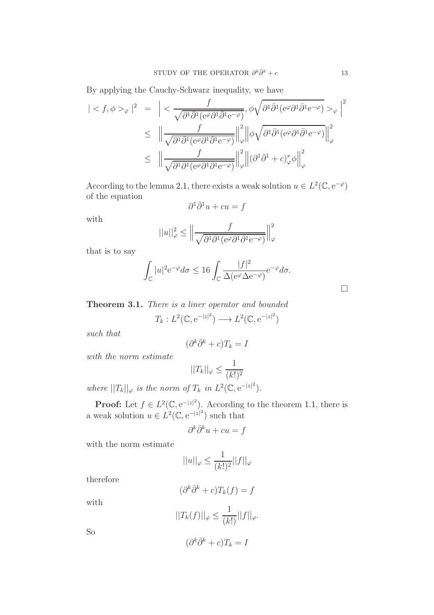By applying the Cauchy-Schwarz inequality, we have

$$
\begin{array}{rcl} \vert < f, \phi >_{\varphi} \vert^{2} & = & \Bigl\vert < \dfrac{f}{\sqrt{\partial^{1}\bar{\partial}^{1}(\mathrm{e}^{\varphi}\partial^{1}\bar{\partial}^{1}\mathrm{e}^{-\varphi})}}, \phi \sqrt{\partial^{1}\bar{\partial}^{1}(\mathrm{e}^{\varphi}\partial^{1}\bar{\partial}^{1}\mathrm{e}^{-\varphi})} >_{\varphi} \Bigr\vert^{2} \\ & \leq & \Bigl\Vert \dfrac{f}{\sqrt{\partial^{1}\bar{\partial}^{1}(\mathrm{e}^{\varphi}\partial^{1}\bar{\partial}^{1}\mathrm{e}^{-\varphi})}} \Bigr\Vert_{\varphi}^{2} \Bigr\Vert \phi \sqrt{\partial^{1}\bar{\partial}^{1}(\mathrm{e}^{\varphi}\partial^{1}\bar{\partial}^{1}\mathrm{e}^{-\varphi})} \Bigr\Vert_{\varphi}^{2} \\ & \leq & \Bigl\Vert \dfrac{f}{\sqrt{\partial^{1}\bar{\partial}^{1}(\mathrm{e}^{\varphi}\partial^{1}\bar{\partial}^{1}\mathrm{e}^{-\varphi})}} \Bigr\Vert_{\varphi}^{2} \Bigr\Vert (\partial^{1}\bar{\partial}^{1}+c)_{\varphi}^{*}\phi \Bigr\Vert_{\varphi}^{2} \end{array}
$$

According to the lemma [2.1,](#page-2-0) there exists a weak solution  $u \in L^2(\mathbb{C}, e^{-\varphi})$ of the equation

$$
\partial^1 \bar{\partial}^1 u + cu = f
$$

with

$$
||u||_{\varphi}^{2} \leq \Big\|\frac{f}{\sqrt{\partial^{1}\partial^{1}(\mathrm{e}^{\varphi}\partial^{1}\overline{\partial}^{1}\mathrm{e}^{-\varphi})}}\Big\|_{\varphi}^{2}
$$

that is to say

$$
\int_{\mathbb{C}} |u|^2 e^{-\varphi} d\sigma \le 16 \int_{\mathbb{C}} \frac{|f|^2}{\Delta(e^{\varphi} \Delta e^{-\varphi})} e^{-\varphi} d\sigma.
$$

Theorem 3.1. There is a liner operator and bounded

$$
T_k: L^2(\mathbb{C}, \mathrm{e}^{-|z|^2}) \longrightarrow L^2(\mathbb{C}, \mathrm{e}^{-|z|^2})
$$

such that

$$
(\partial^k \bar{\partial}^k + c) T_k = I
$$

with the norm estimate

$$
||T_k||_{\varphi} \le \frac{1}{(k!)^2}
$$

where  $||T_k||_{\varphi}$  is the norm of  $T_k$  in  $L^2(\mathbb{C}, e^{-|z|^2})$ .

**Proof:** Let  $f \in L^2(\mathbb{C}, e^{-|z|^2})$ . According to the theorem [1.1,](#page-0-0) there is a weak solution  $u \in L^2(\mathbb{C}, e^{-|z|^2})$  such that

$$
\partial^k \bar{\partial}^k u + cu = f
$$

with the norm estimate

$$
||u||_\varphi \leq \frac{1}{(k!)^2} ||f||_\varphi
$$

therefore

$$
(\partial^k \bar{\partial}^k + c) T_k(f) = f
$$

with

$$
||T_k(f)||_{\varphi} \le \frac{1}{(k!)}||f||_{\varphi}.
$$

So

$$
(\partial^k \bar{\partial}^k + c) T_k = I
$$

 $\Box$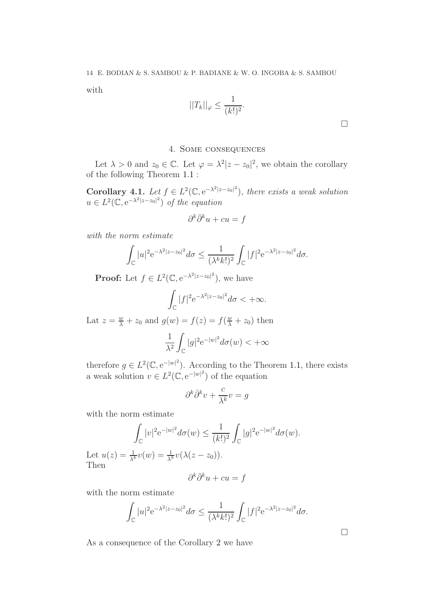with

$$
||T_k||_{\varphi} \le \frac{1}{(k!)^2}.
$$

 $\Box$ 

### 4. Some consequences

Let  $\lambda > 0$  and  $z_0 \in \mathbb{C}$ . Let  $\varphi = \lambda^2 |z - z_0|^2$ , we obtain the corollary of the following Theorem [1.1](#page-0-0) :

**Corollary 4.1.** Let  $f \in L^2(\mathbb{C}, e^{-\lambda^2|z-z_0|^2})$ , there exists a weak solution  $u \in L^2(\mathbb{C}, e^{-\lambda^2 |z - z_0|^2})$  of the equation

$$
\partial^k \bar{\partial}^k u + cu = f
$$

with the norm estimate

$$
\int_{\mathbb{C}} |u|^2 e^{-\lambda^2 |z-z_0|^2} d\sigma \le \frac{1}{(\lambda^k k!)^2} \int_{\mathbb{C}} |f|^2 e^{-\lambda^2 |z-z_0|^2} d\sigma.
$$

**Proof:** Let  $f \in L^2(\mathbb{C}, e^{-\lambda^2 |z - z_0|^2})$ , we have

$$
\int_{\mathbb{C}} |f|^2 e^{-\lambda^2 |z - z_0|^2} d\sigma < +\infty.
$$

Lat  $z = \frac{w}{\lambda} + z_0$  and  $g(w) = f(z) = f(\frac{w}{\lambda} + z_0)$  then

$$
\frac{1}{\lambda^2} \int_{\mathbb{C}} |g|^2 e^{-|w|^2} d\sigma(w) < +\infty
$$

therefore  $g \in L^2(\mathbb{C}, e^{-|w|^2})$ . According to the Theorem [1.1,](#page-0-0) there exists a weak solution  $v \in L^2(\mathbb{C}, e^{-|w|^2})$  of the equation

$$
\partial^k \bar{\partial}^k v + \frac{c}{\lambda^k} v = g
$$

with the norm estimate

$$
\int_{\mathbb{C}} |v|^2 e^{-|w|^2} d\sigma(w) \le \frac{1}{(k!)^2} \int_{\mathbb{C}} |g|^2 e^{-|w|^2} d\sigma(w).
$$

Let  $u(z) = \frac{1}{\lambda^k}v(w) = \frac{1}{\lambda^k}v(\lambda(z - z_0)).$ Then

$$
\partial^k \bar{\partial}^k u + cu = f
$$

with the norm estimate

$$
\int_{\mathbb{C}} |u|^2 e^{-\lambda^2 |z-z_0|^2} d\sigma \le \frac{1}{(\lambda^k k!)^2} \int_{\mathbb{C}} |f|^2 e^{-\lambda^2 |z-z_0|^2} d\sigma.
$$

As a consequence of the Corollary [2](#page-15-3) we have

 $\Box$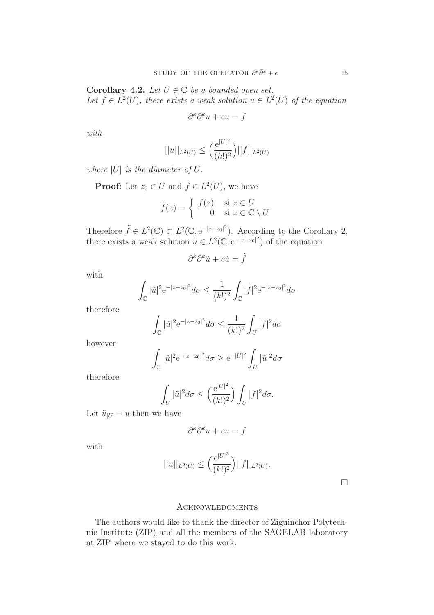Corollary 4.2. Let  $U \in \mathbb{C}$  be a bounded open set. Let  $f \in L^2(U)$ , there exists a weak solution  $u \in L^2(U)$  of the equation

$$
\partial^k \bar{\partial}^k u + cu = f
$$

with

$$
||u||_{L^{2}(U)} \leq \left(\frac{e^{|U|^{2}}}{(k!)^{2}}\right)||f||_{L^{2}(U)}
$$

where  $|U|$  is the diameter of  $U$ .

**Proof:** Let  $z_0 \in U$  and  $f \in L^2(U)$ , we have

$$
\tilde{f}(z) = \begin{cases} f(z) & \text{si } z \in U \\ 0 & \text{si } z \in \mathbb{C} \setminus U \end{cases}
$$

Therefore  $\tilde{f} \in L^2(\mathbb{C}) \subset L^2(\mathbb{C}, e^{-|z-z_0|^2})$ . According to the Corollary [2,](#page-15-3) there exists a weak solution  $\tilde{u} \in L^2(\mathbb{C}, e^{-|z-z_0|^2})$  of the equation

$$
\partial^k\bar\partial^k \tilde u+c\tilde u=\tilde f
$$

with

$$
\int_{\mathbb{C}} |\tilde{u}|^2 e^{-|z-z_0|^2} d\sigma \le \frac{1}{(k!)^2} \int_{\mathbb{C}} |\tilde{f}|^2 e^{-|z-z_0|^2} d\sigma
$$

therefore

$$
\int_{\mathbb{C}} |\tilde{u}|^2 e^{-|z-z_0|^2} d\sigma \le \frac{1}{(k!)^2} \int_{U} |f|^2 d\sigma
$$

however

$$
\int_{\mathbb{C}} |\tilde{u}|^2 e^{-|z-z_0|^2} d\sigma \ge e^{-|U|^2} \int_{U} |\tilde{u}|^2 d\sigma
$$

therefore

$$
\int_U |\tilde{u}|^2 d\sigma \le \left(\frac{e^{|U|^2}}{(k!)^2}\right) \int_U |f|^2 d\sigma.
$$

Let  $\tilde{u}_{|U} = u$  then we have

$$
\partial^k \bar{\partial}^k u + cu = f
$$

with

$$
||u||_{L^2(U)} \le \left(\frac{e^{|U|^2}}{(k!)^2}\right) ||f||_{L^2(U)}.
$$

 $\Box$ 

#### **ACKNOWLEDGMENTS**

The authors would like to thank the director of Ziguinchor Polytechnic Institute (ZIP) and all the members of the SAGELAB laboratory at ZIP where we stayed to do this work.